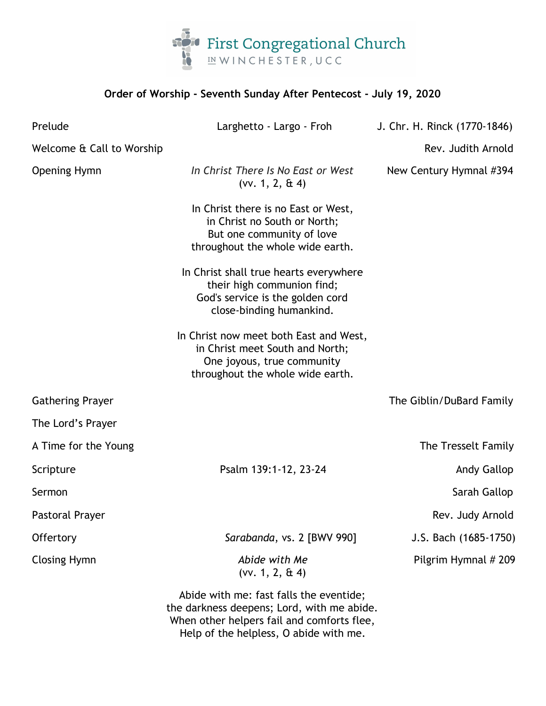

| Order of Worship - Seventh Sunday After Pentecost - July 19, 2020 |                                                                                                                                             |                              |
|-------------------------------------------------------------------|---------------------------------------------------------------------------------------------------------------------------------------------|------------------------------|
| Prelude                                                           | Larghetto - Largo - Froh                                                                                                                    | J. Chr. H. Rinck (1770-1846) |
| Welcome & Call to Worship                                         |                                                                                                                                             | Rev. Judith Arnold           |
| <b>Opening Hymn</b>                                               | In Christ There Is No East or West<br>$(vv. 1, 2, \& 4)$                                                                                    | New Century Hymnal #394      |
|                                                                   | In Christ there is no East or West,<br>in Christ no South or North;<br>But one community of love<br>throughout the whole wide earth.        |                              |
|                                                                   | In Christ shall true hearts everywhere<br>their high communion find;<br>God's service is the golden cord<br>close-binding humankind.        |                              |
|                                                                   | In Christ now meet both East and West,<br>in Christ meet South and North;<br>One joyous, true community<br>throughout the whole wide earth. |                              |
| <b>Gathering Prayer</b>                                           |                                                                                                                                             | The Giblin/DuBard Family     |
| The Lord's Prayer                                                 |                                                                                                                                             |                              |
| A Time for the Young                                              |                                                                                                                                             | The Tresselt Family          |
| Scripture                                                         | Psalm 139:1-12, 23-24                                                                                                                       | Andy Gallop                  |
| Sermon                                                            |                                                                                                                                             | Sarah Gallop                 |
| <b>Pastoral Prayer</b>                                            |                                                                                                                                             | Rev. Judy Arnold             |
| Offertory                                                         | Sarabanda, vs. 2 [BWV 990]                                                                                                                  | J.S. Bach (1685-1750)        |
| <b>Closing Hymn</b>                                               | Abide with Me<br>$(vv. 1, 2, \& 4)$                                                                                                         | Pilgrim Hymnal # 209         |
|                                                                   | Abide with me: fast falls the eventide;<br>the darkness deepens; Lord, with me abide.<br>When other helpers fail and comforts flee,         |                              |

Help of the helpless, O abide with me.